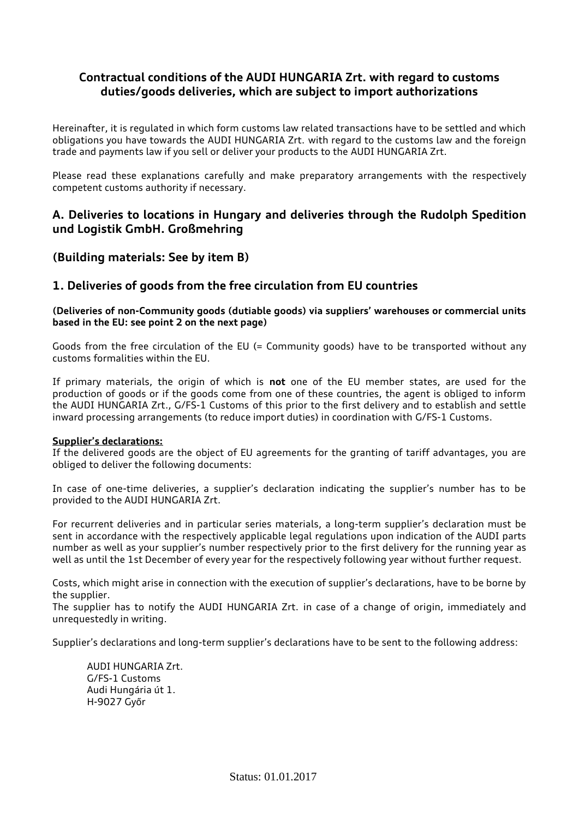# **Contractual conditions of the AUDI HUNGARIA Zrt. with regard to customs duties/goods deliveries, which are subject to import authorizations**

Hereinafter, it is regulated in which form customs law related transactions have to be settled and which obligations you have towards the AUDI HUNGARIA Zrt. with regard to the customs law and the foreign trade and payments law if you sell or deliver your products to the AUDI HUNGARIA Zrt.

Please read these explanations carefully and make preparatory arrangements with the respectively competent customs authority if necessary.

# **A. Deliveries to locations in Hungary and deliveries through the Rudolph Spedition und Logistik GmbH. Großmehring**

### **(Building materials: See by item B)**

### **1. Deliveries of goods from the free circulation from EU countries**

#### **(Deliveries of non-Community goods (dutiable goods) via suppliers' warehouses or commercial units based in the EU: see point 2 on the next page)**

Goods from the free circulation of the EU (= Community goods) have to be transported without any customs formalities within the EU.

If primary materials, the origin of which is **not** one of the EU member states, are used for the production of goods or if the goods come from one of these countries, the agent is obliged to inform the AUDI HUNGARIA Zrt., G/FS-1 Customs of this prior to the first delivery and to establish and settle inward processing arrangements (to reduce import duties) in coordination with G/FS-1 Customs.

#### **Supplier's declarations:**

If the delivered goods are the object of EU agreements for the granting of tariff advantages, you are obliged to deliver the following documents:

In case of one-time deliveries, a supplier's declaration indicating the supplier's number has to be provided to the AUDI HUNGARIA Zrt.

For recurrent deliveries and in particular series materials, a long-term supplier's declaration must be sent in accordance with the respectively applicable legal regulations upon indication of the AUDI parts number as well as your supplier's number respectively prior to the first delivery for the running year as well as until the 1st December of every year for the respectively following year without further request.

Costs, which might arise in connection with the execution of supplier's declarations, have to be borne by the supplier.

The supplier has to notify the AUDI HUNGARIA Zrt. in case of a change of origin, immediately and unrequestedly in writing.

Supplier's declarations and long-term supplier's declarations have to be sent to the following address:

AUDI HUNGARIA Zrt. G/FS-1 Customs Audi Hungária út 1. H-9027 Győr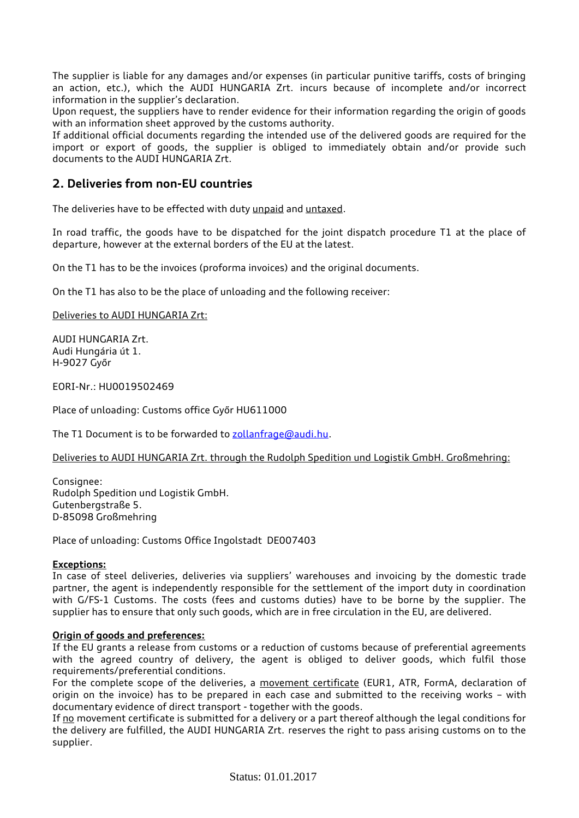The supplier is liable for any damages and/or expenses (in particular punitive tariffs, costs of bringing an action, etc.), which the AUDI HUNGARIA Zrt. incurs because of incomplete and/or incorrect information in the supplier's declaration.

Upon request, the suppliers have to render evidence for their information regarding the origin of goods with an information sheet approved by the customs authority.

If additional official documents regarding the intended use of the delivered goods are required for the import or export of goods, the supplier is obliged to immediately obtain and/or provide such documents to the AUDI HUNGARIA Zrt.

## **2. Deliveries from non-EU countries**

The deliveries have to be effected with duty unpaid and untaxed.

In road traffic, the goods have to be dispatched for the joint dispatch procedure T1 at the place of departure, however at the external borders of the EU at the latest.

On the T1 has to be the invoices (proforma invoices) and the original documents.

On the T1 has also to be the place of unloading and the following receiver:

#### Deliveries to AUDI HUNGARIA Zrt:

AUDI HUNGARIA Zrt. Audi Hungária út 1. H-9027 Győr

EORI-Nr.: HU0019502469

Place of unloading: Customs office Győr HU611000

The T1 Document is to be forwarded to [zollanfrage@audi.hu.](mailto:zollanfrage@audi.hu)

Deliveries to AUDI HUNGARIA Zrt. through the Rudolph Spedition und Logistik GmbH. Großmehring:

Consignee: Rudolph Spedition und Logistik GmbH. Gutenbergstraße 5. D-85098 Großmehring

Place of unloading: Customs Office Ingolstadt DE007403

#### **Exceptions:**

In case of steel deliveries, deliveries via suppliers' warehouses and invoicing by the domestic trade partner, the agent is independently responsible for the settlement of the import duty in coordination with G/FS-1 Customs. The costs (fees and customs duties) have to be borne by the supplier. The supplier has to ensure that only such goods, which are in free circulation in the EU, are delivered.

### **Origin of goods and preferences:**

If the EU grants a release from customs or a reduction of customs because of preferential agreements with the agreed country of delivery, the agent is obliged to deliver goods, which fulfil those requirements/preferential conditions.

For the complete scope of the deliveries, a movement certificate (EUR1, ATR, FormA, declaration of origin on the invoice) has to be prepared in each case and submitted to the receiving works – with documentary evidence of direct transport - together with the goods.

If no movement certificate is submitted for a delivery or a part thereof although the legal conditions for the delivery are fulfilled, the AUDI HUNGARIA Zrt. reserves the right to pass arising customs on to the supplier.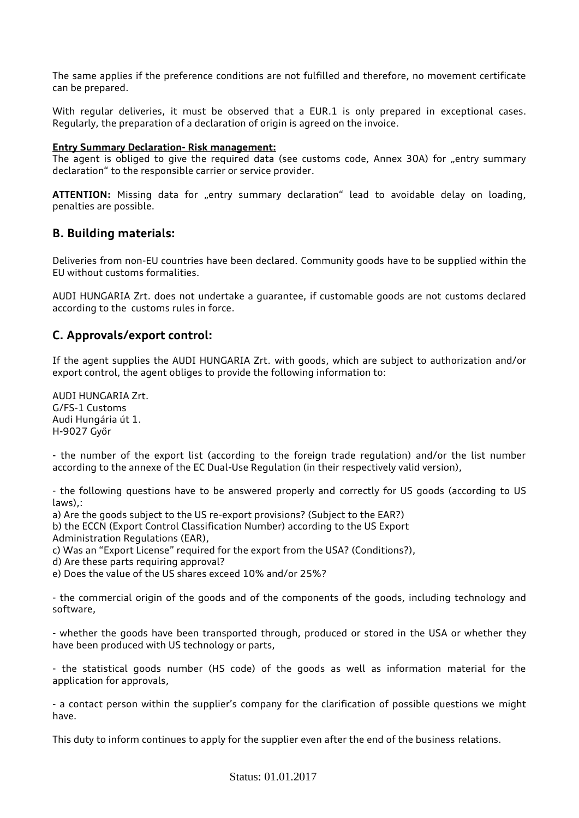The same applies if the preference conditions are not fulfilled and therefore, no movement certificate can be prepared.

With regular deliveries, it must be observed that a EUR.1 is only prepared in exceptional cases. Regularly, the preparation of a declaration of origin is agreed on the invoice.

#### **Entry Summary Declaration- Risk management:**

The agent is obliged to give the required data (see customs code, Annex 30A) for "entry summary declaration" to the responsible carrier or service provider.

ATTENTION: Missing data for "entry summary declaration" lead to avoidable delay on loading, penalties are possible.

### **B. Building materials:**

Deliveries from non-EU countries have been declared. Community goods have to be supplied within the EU without customs formalities.

AUDI HUNGARIA Zrt. does not undertake a guarantee, if customable goods are not customs declared according to the customs rules in force.

### **C. Approvals/export control:**

If the agent supplies the AUDI HUNGARIA Zrt. with goods, which are subject to authorization and/or export control, the agent obliges to provide the following information to:

AUDI HUNGARIA Zrt. G/FS-1 Customs Audi Hungária út 1. H-9027 Győr

- the number of the export list (according to the foreign trade regulation) and/or the list number according to the annexe of the EC Dual-Use Regulation (in their respectively valid version),

- the following questions have to be answered properly and correctly for US goods (according to US laws),:

a) Are the goods subject to the US re-export provisions? (Subject to the EAR?)

b) the ECCN (Export Control Classification Number) according to the US Export Administration Regulations (EAR),

c) Was an "Export License" required for the export from the USA? (Conditions?),

d) Are these parts requiring approval?

e) Does the value of the US shares exceed 10% and/or 25%?

- the commercial origin of the goods and of the components of the goods, including technology and software,

- whether the goods have been transported through, produced or stored in the USA or whether they have been produced with US technology or parts,

- the statistical goods number (HS code) of the goods as well as information material for the application for approvals,

- a contact person within the supplier's company for the clarification of possible questions we might have.

This duty to inform continues to apply for the supplier even after the end of the business relations.